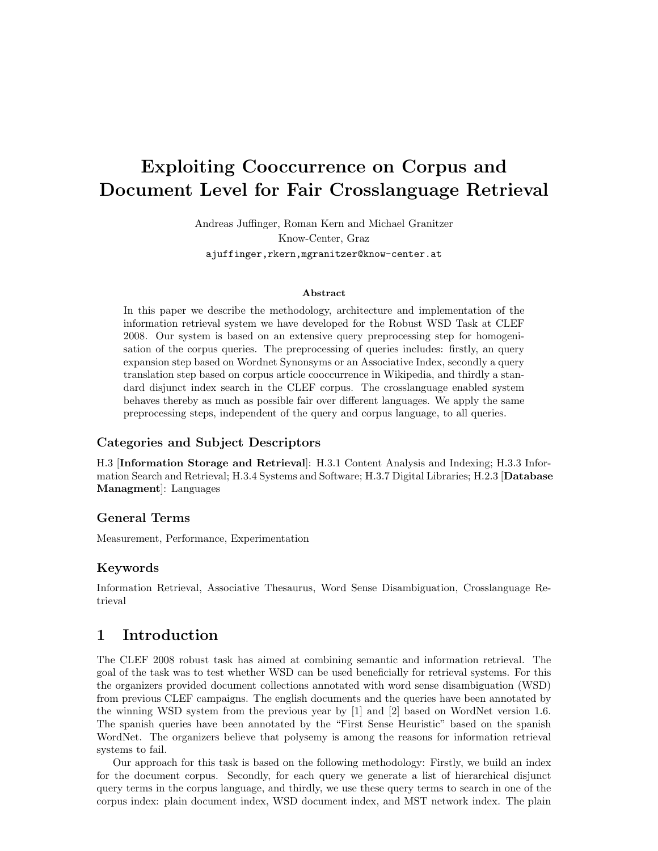# Exploiting Cooccurrence on Corpus and Document Level for Fair Crosslanguage Retrieval

Andreas Juffinger, Roman Kern and Michael Granitzer Know-Center, Graz ajuffinger,rkern,mgranitzer@know-center.at

#### Abstract

In this paper we describe the methodology, architecture and implementation of the information retrieval system we have developed for the Robust WSD Task at CLEF 2008. Our system is based on an extensive query preprocessing step for homogenisation of the corpus queries. The preprocessing of queries includes: firstly, an query expansion step based on Wordnet Synonsyms or an Associative Index, secondly a query translation step based on corpus article cooccurrence in Wikipedia, and thirdly a standard disjunct index search in the CLEF corpus. The crosslanguage enabled system behaves thereby as much as possible fair over different languages. We apply the same preprocessing steps, independent of the query and corpus language, to all queries.

#### Categories and Subject Descriptors

H.3 [Information Storage and Retrieval]: H.3.1 Content Analysis and Indexing; H.3.3 Information Search and Retrieval; H.3.4 Systems and Software; H.3.7 Digital Libraries; H.2.3 [Database Managment]: Languages

### General Terms

Measurement, Performance, Experimentation

### Keywords

Information Retrieval, Associative Thesaurus, Word Sense Disambiguation, Crosslanguage Retrieval

## 1 Introduction

The CLEF 2008 robust task has aimed at combining semantic and information retrieval. The goal of the task was to test whether WSD can be used beneficially for retrieval systems. For this the organizers provided document collections annotated with word sense disambiguation (WSD) from previous CLEF campaigns. The english documents and the queries have been annotated by the winning WSD system from the previous year by [1] and [2] based on WordNet version 1.6. The spanish queries have been annotated by the "First Sense Heuristic" based on the spanish WordNet. The organizers believe that polysemy is among the reasons for information retrieval systems to fail.

Our approach for this task is based on the following methodology: Firstly, we build an index for the document corpus. Secondly, for each query we generate a list of hierarchical disjunct query terms in the corpus language, and thirdly, we use these query terms to search in one of the corpus index: plain document index, WSD document index, and MST network index. The plain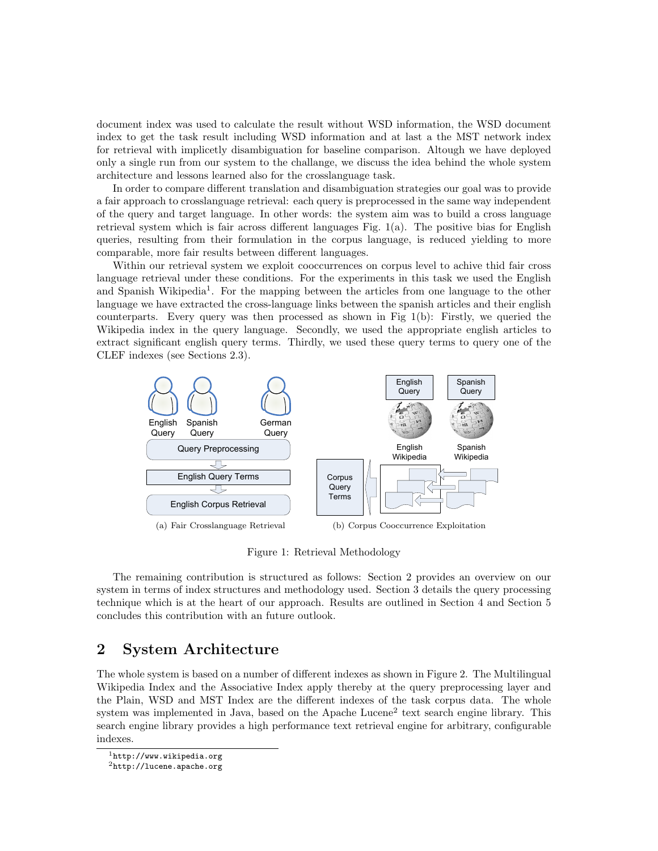document index was used to calculate the result without WSD information, the WSD document index to get the task result including WSD information and at last a the MST network index for retrieval with implicetly disambiguation for baseline comparison. Altough we have deployed only a single run from our system to the challange, we discuss the idea behind the whole system architecture and lessons learned also for the crosslanguage task.

In order to compare different translation and disambiguation strategies our goal was to provide a fair approach to crosslanguage retrieval: each query is preprocessed in the same way independent of the query and target language. In other words: the system aim was to build a cross language retrieval system which is fair across different languages Fig.  $1(a)$ . The positive bias for English queries, resulting from their formulation in the corpus language, is reduced yielding to more comparable, more fair results between different languages.

Within our retrieval system we exploit cooccurrences on corpus level to achive thid fair cross language retrieval under these conditions. For the experiments in this task we used the English and Spanish Wikipedia<sup>1</sup>. For the mapping between the articles from one language to the other language we have extracted the cross-language links between the spanish articles and their english counterparts. Every query was then processed as shown in Fig 1(b): Firstly, we queried the Wikipedia index in the query language. Secondly, we used the appropriate english articles to extract significant english query terms. Thirdly, we used these query terms to query one of the CLEF indexes (see Sections 2.3).



Figure 1: Retrieval Methodology

The remaining contribution is structured as follows: Section 2 provides an overview on our system in terms of index structures and methodology used. Section 3 details the query processing technique which is at the heart of our approach. Results are outlined in Section 4 and Section 5 concludes this contribution with an future outlook.

## 2 System Architecture

The whole system is based on a number of different indexes as shown in Figure 2. The Multilingual Wikipedia Index and the Associative Index apply thereby at the query preprocessing layer and the Plain, WSD and MST Index are the different indexes of the task corpus data. The whole system was implemented in Java, based on the Apache Lucene<sup>2</sup> text search engine library. This search engine library provides a high performance text retrieval engine for arbitrary, configurable indexes.

 $1$ http://www.wikipedia.org

 ${}^{2}$ http://lucene.apache.org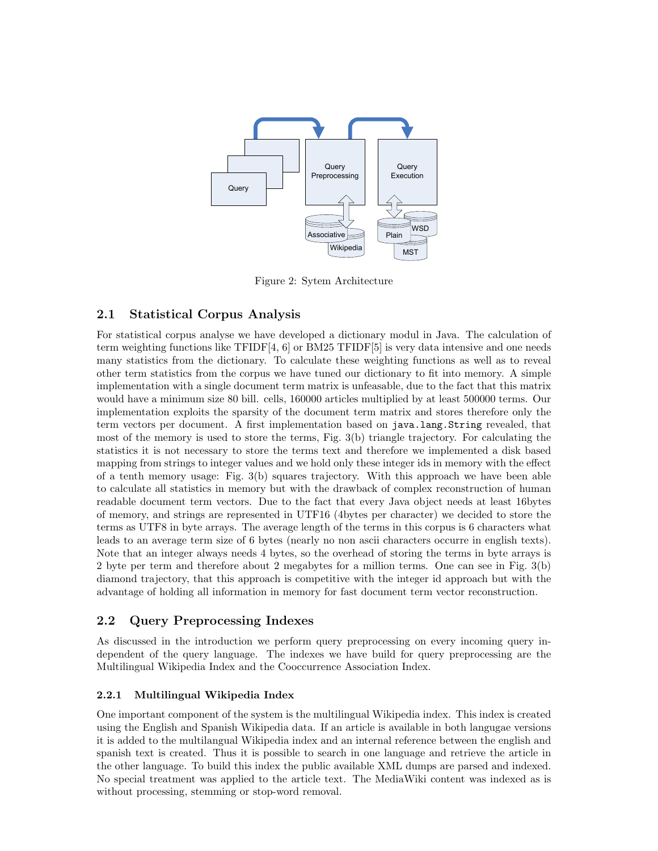

Figure 2: Sytem Architecture

## 2.1 Statistical Corpus Analysis

For statistical corpus analyse we have developed a dictionary modul in Java. The calculation of term weighting functions like TFIDF[4, 6] or BM25 TFIDF[5] is very data intensive and one needs many statistics from the dictionary. To calculate these weighting functions as well as to reveal other term statistics from the corpus we have tuned our dictionary to fit into memory. A simple implementation with a single document term matrix is unfeasable, due to the fact that this matrix would have a minimum size 80 bill. cells, 160000 articles multiplied by at least 500000 terms. Our implementation exploits the sparsity of the document term matrix and stores therefore only the term vectors per document. A first implementation based on java.lang.String revealed, that most of the memory is used to store the terms, Fig. 3(b) triangle trajectory. For calculating the statistics it is not necessary to store the terms text and therefore we implemented a disk based mapping from strings to integer values and we hold only these integer ids in memory with the effect of a tenth memory usage: Fig. 3(b) squares trajectory. With this approach we have been able to calculate all statistics in memory but with the drawback of complex reconstruction of human readable document term vectors. Due to the fact that every Java object needs at least 16bytes of memory, and strings are represented in UTF16 (4bytes per character) we decided to store the terms as UTF8 in byte arrays. The average length of the terms in this corpus is 6 characters what leads to an average term size of 6 bytes (nearly no non ascii characters occurre in english texts). Note that an integer always needs 4 bytes, so the overhead of storing the terms in byte arrays is 2 byte per term and therefore about 2 megabytes for a million terms. One can see in Fig. 3(b) diamond trajectory, that this approach is competitive with the integer id approach but with the advantage of holding all information in memory for fast document term vector reconstruction.

## 2.2 Query Preprocessing Indexes

As discussed in the introduction we perform query preprocessing on every incoming query independent of the query language. The indexes we have build for query preprocessing are the Multilingual Wikipedia Index and the Cooccurrence Association Index.

## 2.2.1 Multilingual Wikipedia Index

One important component of the system is the multilingual Wikipedia index. This index is created using the English and Spanish Wikipedia data. If an article is available in both langugae versions it is added to the multilangual Wikipedia index and an internal reference between the english and spanish text is created. Thus it is possible to search in one language and retrieve the article in the other language. To build this index the public available XML dumps are parsed and indexed. No special treatment was applied to the article text. The MediaWiki content was indexed as is without processing, stemming or stop-word removal.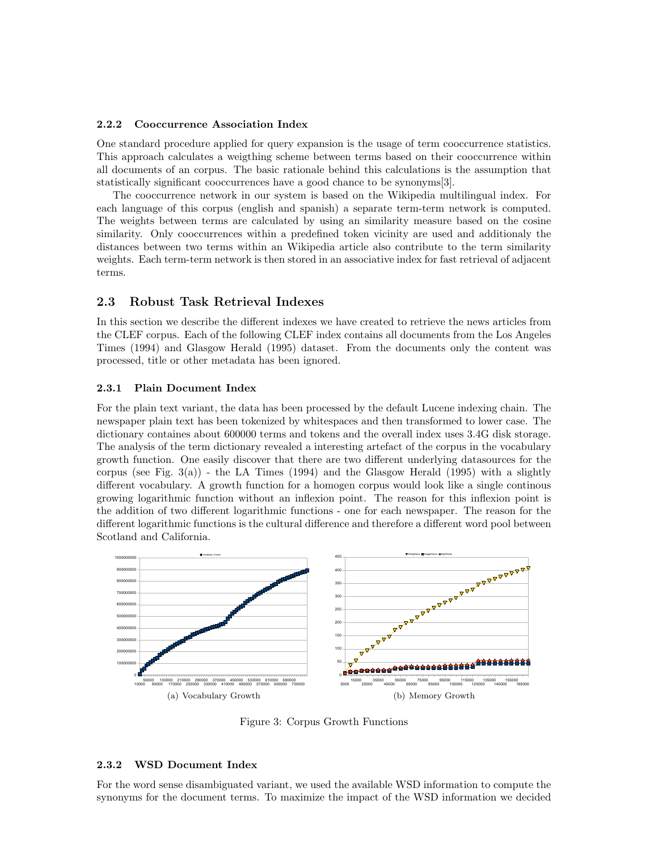#### 2.2.2 Cooccurrence Association Index

One standard procedure applied for query expansion is the usage of term cooccurrence statistics. This approach calculates a weigthing scheme between terms based on their cooccurrence within all documents of an corpus. The basic rationale behind this calculations is the assumption that statistically significant cooccurrences have a good chance to be synonyms[3].

The cooccurrence network in our system is based on the Wikipedia multilingual index. For each language of this corpus (english and spanish) a separate term-term network is computed. The weights between terms are calculated by using an similarity measure based on the cosine similarity. Only cooccurrences within a predefined token vicinity are used and additionaly the distances between two terms within an Wikipedia article also contribute to the term similarity weights. Each term-term network is then stored in an associative index for fast retrieval of adjacent terms.

### 2.3 Robust Task Retrieval Indexes

In this section we describe the different indexes we have created to retrieve the news articles from the CLEF corpus. Each of the following CLEF index contains all documents from the Los Angeles Times (1994) and Glasgow Herald (1995) dataset. From the documents only the content was processed, title or other metadata has been ignored.

#### 2.3.1 Plain Document Index

For the plain text variant, the data has been processed by the default Lucene indexing chain. The newspaper plain text has been tokenized by whitespaces and then transformed to lower case. The dictionary containes about 600000 terms and tokens and the overall index uses 3.4G disk storage. The analysis of the term dictionary revealed a interesting artefact of the corpus in the vocabulary growth function. One easily discover that there are two different underlying datasources for the corpus (see Fig.  $3(a)$ ) - the LA Times (1994) and the Glasgow Herald (1995) with a slightly different vocabulary. A growth function for a homogen corpus would look like a single continous growing logarithmic function without an inflexion point. The reason for this inflexion point is the addition of two different logarithmic functions - one for each newspaper. The reason for the different logarithmic functions is the cultural difference and therefore a different word pool between Scotland and California.



Figure 3: Corpus Growth Functions

#### 2.3.2 WSD Document Index

For the word sense disambiguated variant, we used the available WSD information to compute the synonyms for the document terms. To maximize the impact of the WSD information we decided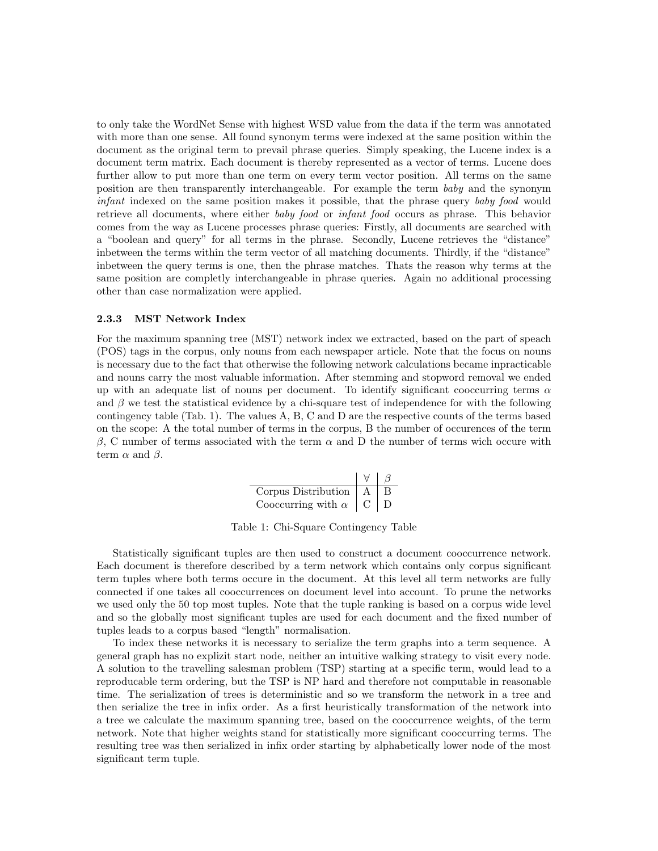to only take the WordNet Sense with highest WSD value from the data if the term was annotated with more than one sense. All found synonym terms were indexed at the same position within the document as the original term to prevail phrase queries. Simply speaking, the Lucene index is a document term matrix. Each document is thereby represented as a vector of terms. Lucene does further allow to put more than one term on every term vector position. All terms on the same position are then transparently interchangeable. For example the term baby and the synonym infant indexed on the same position makes it possible, that the phrase query baby food would retrieve all documents, where either *baby food* or *infant food* occurs as phrase. This behavior comes from the way as Lucene processes phrase queries: Firstly, all documents are searched with a "boolean and query" for all terms in the phrase. Secondly, Lucene retrieves the "distance" inbetween the terms within the term vector of all matching documents. Thirdly, if the "distance" inbetween the query terms is one, then the phrase matches. Thats the reason why terms at the same position are completly interchangeable in phrase queries. Again no additional processing other than case normalization were applied.

#### 2.3.3 MST Network Index

For the maximum spanning tree (MST) network index we extracted, based on the part of speach (POS) tags in the corpus, only nouns from each newspaper article. Note that the focus on nouns is necessary due to the fact that otherwise the following network calculations became inpracticable and nouns carry the most valuable information. After stemming and stopword removal we ended up with an adequate list of nouns per document. To identify significant cooccurring terms  $\alpha$ and  $\beta$  we test the statistical evidence by a chi-square test of independence for with the following contingency table (Tab. 1). The values A, B, C and D are the respective counts of the terms based on the scope: A the total number of terms in the corpus, B the number of occurences of the term β, C number of terms associated with the term  $\alpha$  and D the number of terms wich occure with term  $\alpha$  and  $\beta$ .

| Corpus Distribution       |  |
|---------------------------|--|
| Cooccurring with $\alpha$ |  |

Table 1: Chi-Square Contingency Table

Statistically significant tuples are then used to construct a document cooccurrence network. Each document is therefore described by a term network which contains only corpus significant term tuples where both terms occure in the document. At this level all term networks are fully connected if one takes all cooccurrences on document level into account. To prune the networks we used only the 50 top most tuples. Note that the tuple ranking is based on a corpus wide level and so the globally most significant tuples are used for each document and the fixed number of tuples leads to a corpus based "length" normalisation.

To index these networks it is necessary to serialize the term graphs into a term sequence. A general graph has no explizit start node, neither an intuitive walking strategy to visit every node. A solution to the travelling salesman problem (TSP) starting at a specific term, would lead to a reproducable term ordering, but the TSP is NP hard and therefore not computable in reasonable time. The serialization of trees is deterministic and so we transform the network in a tree and then serialize the tree in infix order. As a first heuristically transformation of the network into a tree we calculate the maximum spanning tree, based on the cooccurrence weights, of the term network. Note that higher weights stand for statistically more significant cooccurring terms. The resulting tree was then serialized in infix order starting by alphabetically lower node of the most significant term tuple.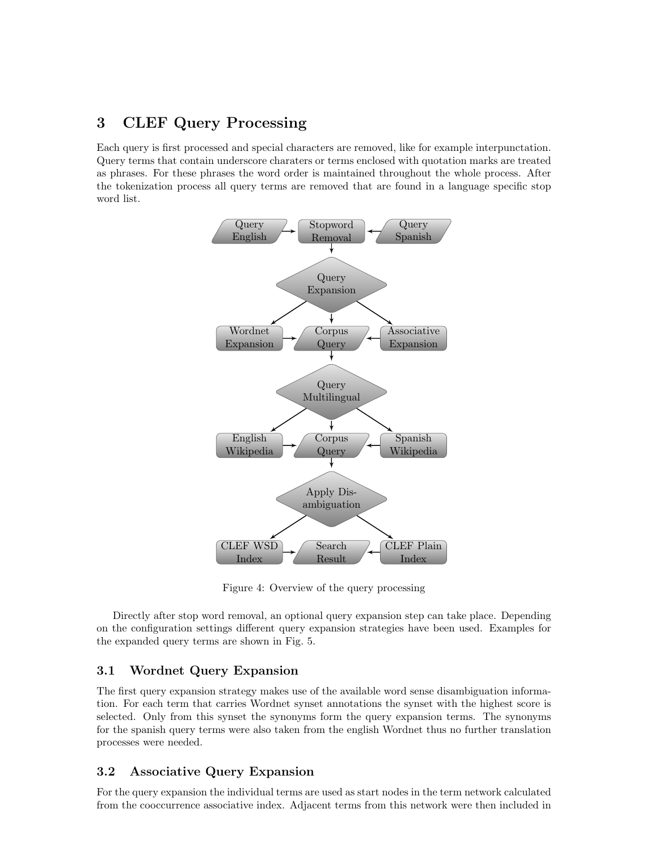## 3 CLEF Query Processing

Each query is first processed and special characters are removed, like for example interpunctation. Query terms that contain underscore charaters or terms enclosed with quotation marks are treated as phrases. For these phrases the word order is maintained throughout the whole process. After the tokenization process all query terms are removed that are found in a language specific stop word list.



Figure 4: Overview of the query processing

Directly after stop word removal, an optional query expansion step can take place. Depending on the configuration settings different query expansion strategies have been used. Examples for the expanded query terms are shown in Fig. 5.

## 3.1 Wordnet Query Expansion

The first query expansion strategy makes use of the available word sense disambiguation information. For each term that carries Wordnet synset annotations the synset with the highest score is selected. Only from this synset the synonyms form the query expansion terms. The synonyms for the spanish query terms were also taken from the english Wordnet thus no further translation processes were needed.

## 3.2 Associative Query Expansion

For the query expansion the individual terms are used as start nodes in the term network calculated from the cooccurrence associative index. Adjacent terms from this network were then included in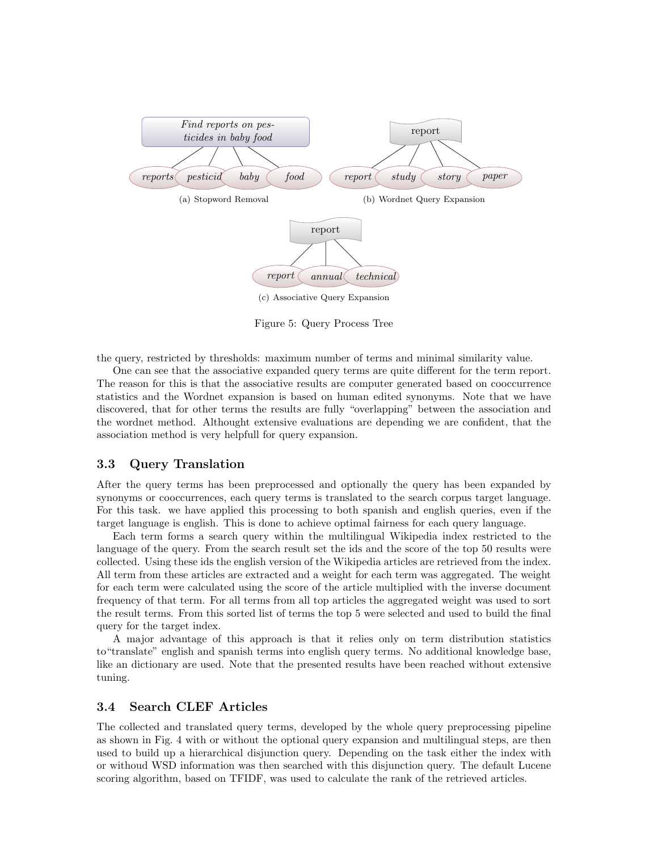

Figure 5: Query Process Tree

the query, restricted by thresholds: maximum number of terms and minimal similarity value.

One can see that the associative expanded query terms are quite different for the term report. The reason for this is that the associative results are computer generated based on cooccurrence statistics and the Wordnet expansion is based on human edited synonyms. Note that we have discovered, that for other terms the results are fully "overlapping" between the association and the wordnet method. Althought extensive evaluations are depending we are confident, that the association method is very helpfull for query expansion.

### 3.3 Query Translation

After the query terms has been preprocessed and optionally the query has been expanded by synonyms or cooccurrences, each query terms is translated to the search corpus target language. For this task. we have applied this processing to both spanish and english queries, even if the target language is english. This is done to achieve optimal fairness for each query language.

Each term forms a search query within the multilingual Wikipedia index restricted to the language of the query. From the search result set the ids and the score of the top 50 results were collected. Using these ids the english version of the Wikipedia articles are retrieved from the index. All term from these articles are extracted and a weight for each term was aggregated. The weight for each term were calculated using the score of the article multiplied with the inverse document frequency of that term. For all terms from all top articles the aggregated weight was used to sort the result terms. From this sorted list of terms the top 5 were selected and used to build the final query for the target index.

A major advantage of this approach is that it relies only on term distribution statistics to"translate" english and spanish terms into english query terms. No additional knowledge base, like an dictionary are used. Note that the presented results have been reached without extensive tuning.

#### 3.4 Search CLEF Articles

The collected and translated query terms, developed by the whole query preprocessing pipeline as shown in Fig. 4 with or without the optional query expansion and multilingual steps, are then used to build up a hierarchical disjunction query. Depending on the task either the index with or withoud WSD information was then searched with this disjunction query. The default Lucene scoring algorithm, based on TFIDF, was used to calculate the rank of the retrieved articles.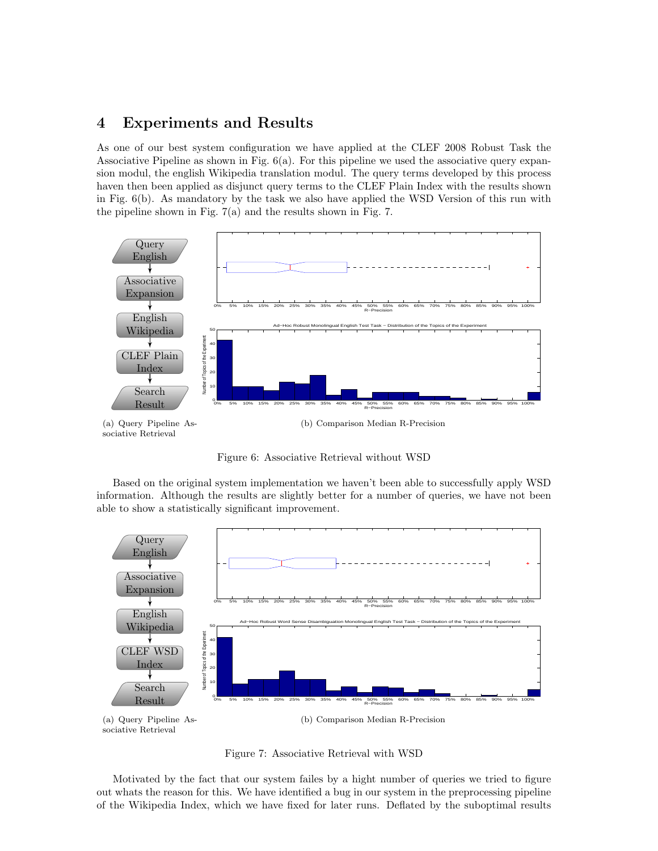## 4 Experiments and Results

As one of our best system configuration we have applied at the CLEF 2008 Robust Task the Associative Pipeline as shown in Fig. 6(a). For this pipeline we used the associative query expansion modul, the english Wikipedia translation modul. The query terms developed by this process haven then been applied as disjunct query terms to the CLEF Plain Index with the results shown in Fig. 6(b). As mandatory by the task we also have applied the WSD Version of this run with the pipeline shown in Fig. 7(a) and the results shown in Fig. 7.



Figure 6: Associative Retrieval without WSD

Based on the original system implementation we haven't been able to successfully apply WSD information. Although the results are slightly better for a number of queries, we have not been able to show a statistically significant improvement.



Figure 7: Associative Retrieval with WSD

Motivated by the fact that our system failes by a hight number of queries we tried to figure out whats the reason for this. We have identified a bug in our system in the preprocessing pipeline of the Wikipedia Index, which we have fixed for later runs. Deflated by the suboptimal results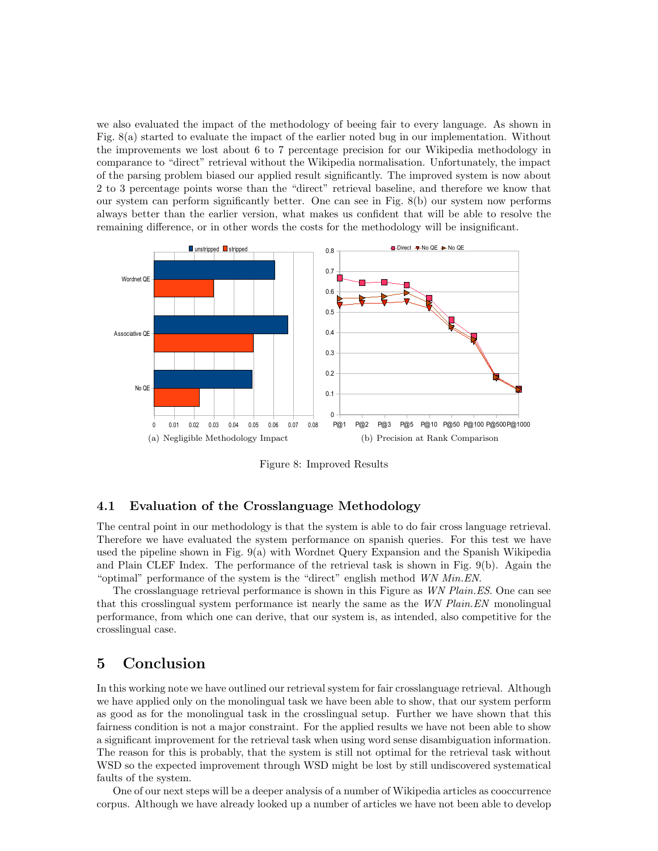we also evaluated the impact of the methodology of beeing fair to every language. As shown in Fig. 8(a) started to evaluate the impact of the earlier noted bug in our implementation. Without the improvements we lost about 6 to 7 percentage precision for our Wikipedia methodology in comparance to "direct" retrieval without the Wikipedia normalisation. Unfortunately, the impact of the parsing problem biased our applied result significantly. The improved system is now about 2 to 3 percentage points worse than the "direct" retrieval baseline, and therefore we know that our system can perform significantly better. One can see in Fig. 8(b) our system now performs always better than the earlier version, what makes us confident that will be able to resolve the remaining difference, or in other words the costs for the methodology will be insignificant.



Figure 8: Improved Results

### 4.1 Evaluation of the Crosslanguage Methodology

The central point in our methodology is that the system is able to do fair cross language retrieval. Therefore we have evaluated the system performance on spanish queries. For this test we have used the pipeline shown in Fig. 9(a) with Wordnet Query Expansion and the Spanish Wikipedia and Plain CLEF Index. The performance of the retrieval task is shown in Fig. 9(b). Again the "optimal" performance of the system is the "direct" english method WN Min.EN.

The crosslanguage retrieval performance is shown in this Figure as WN Plain.ES. One can see that this crosslingual system performance ist nearly the same as the WN Plain.EN monolingual performance, from which one can derive, that our system is, as intended, also competitive for the crosslingual case.

## 5 Conclusion

In this working note we have outlined our retrieval system for fair crosslanguage retrieval. Although we have applied only on the monolingual task we have been able to show, that our system perform as good as for the monolingual task in the crosslingual setup. Further we have shown that this fairness condition is not a major constraint. For the applied results we have not been able to show a significant improvement for the retrieval task when using word sense disambiguation information. The reason for this is probably, that the system is still not optimal for the retrieval task without WSD so the expected improvement through WSD might be lost by still undiscovered systematical faults of the system.

One of our next steps will be a deeper analysis of a number of Wikipedia articles as cooccurrence corpus. Although we have already looked up a number of articles we have not been able to develop